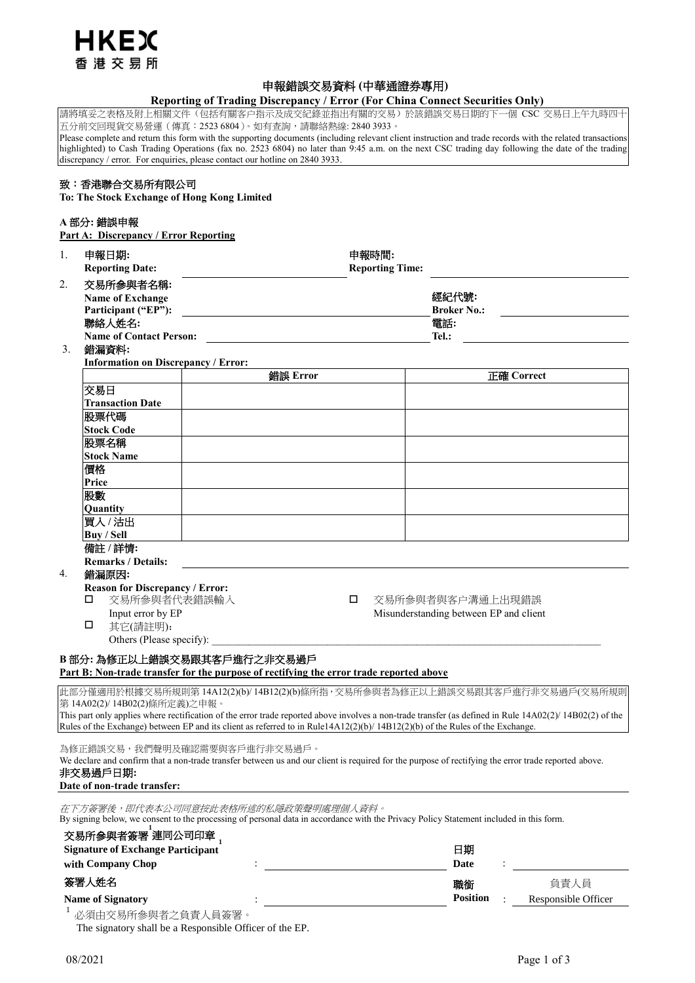

# 申報錯誤交易資料 **(**中華通證券專用**)**

# **Reporting of Trading Discrepancy / Error (For China Connect Securities Only)**

請將填妥之表格及附上相關文件(包括有關客户指示及成交紀錄並指出有關的交易)於該錯誤交易日期的下一個 CSC 交易日上午九時四十 五分前交回現貨交易營運(傳真:2523 6804)。如有查詢,請聯絡熱線: 2840 3933。

Please complete and return this form with the supporting documents (including relevant client instruction and trade records with the related transactions highlighted) to Cash Trading Operations (fax no. 2523 6804) no later than 9:45 a.m. on the next CSC trading day following the date of the trading highlighted) to Cash Trading Operations (fax no. 2523 6804) no later than 9: discrepancy / error. For enquiries, please contact our hotline on 2840 3933.

# 致:香港聯合交易所有限公司

**To: The Stock Exchange of Hong Kong Limited**

## **A** 部分**:** 錯誤申報

**Part A: Discrepancy / Error Reporting** 

| 1.                                                                                                                                                       | 申報日期:<br><b>Reporting Date:</b>                                                 |                                                                                                                                                                               | 申報時間:<br><b>Reporting Time:</b>    |                                        |                     |  |
|----------------------------------------------------------------------------------------------------------------------------------------------------------|---------------------------------------------------------------------------------|-------------------------------------------------------------------------------------------------------------------------------------------------------------------------------|------------------------------------|----------------------------------------|---------------------|--|
| 2.                                                                                                                                                       | 交易所参與者名稱:<br><b>Name of Exchange</b><br>Participant ("EP"):<br>聯絡人姓名:           |                                                                                                                                                                               | 經紀代號:<br><b>Broker No.:</b><br>電話: |                                        |                     |  |
|                                                                                                                                                          | <b>Name of Contact Person:</b><br>Tel.:                                         |                                                                                                                                                                               |                                    |                                        |                     |  |
| 3.                                                                                                                                                       | 錯漏資料:                                                                           | <b>Information on Discrepancy / Error:</b>                                                                                                                                    |                                    |                                        |                     |  |
|                                                                                                                                                          |                                                                                 | 錯誤 Error                                                                                                                                                                      |                                    |                                        | <b>正確 Correct</b>   |  |
|                                                                                                                                                          | 交易日                                                                             |                                                                                                                                                                               |                                    |                                        |                     |  |
|                                                                                                                                                          | <b>Transaction Date</b>                                                         |                                                                                                                                                                               |                                    |                                        |                     |  |
|                                                                                                                                                          | 股票代碼                                                                            |                                                                                                                                                                               |                                    |                                        |                     |  |
|                                                                                                                                                          | <b>Stock Code</b>                                                               |                                                                                                                                                                               |                                    |                                        |                     |  |
|                                                                                                                                                          | 股票名稱                                                                            |                                                                                                                                                                               |                                    |                                        |                     |  |
|                                                                                                                                                          | <b>Stock Name</b>                                                               |                                                                                                                                                                               |                                    |                                        |                     |  |
|                                                                                                                                                          | 價格                                                                              |                                                                                                                                                                               |                                    |                                        |                     |  |
|                                                                                                                                                          | Price                                                                           |                                                                                                                                                                               |                                    |                                        |                     |  |
|                                                                                                                                                          | 股數                                                                              |                                                                                                                                                                               |                                    |                                        |                     |  |
|                                                                                                                                                          | Quantity                                                                        |                                                                                                                                                                               |                                    |                                        |                     |  |
|                                                                                                                                                          | 買入/沽出                                                                           |                                                                                                                                                                               |                                    |                                        |                     |  |
|                                                                                                                                                          | <b>Buy / Sell</b>                                                               |                                                                                                                                                                               |                                    |                                        |                     |  |
|                                                                                                                                                          | 備註 /詳情:                                                                         |                                                                                                                                                                               |                                    |                                        |                     |  |
|                                                                                                                                                          | <b>Remarks / Details:</b>                                                       |                                                                                                                                                                               |                                    |                                        |                     |  |
| 4.                                                                                                                                                       | 錯漏原因:                                                                           |                                                                                                                                                                               |                                    |                                        |                     |  |
|                                                                                                                                                          | <b>Reason for Discrepancy / Error:</b><br>交易所参與者代表錯誤輸入<br>□<br>交易所參與者與客户溝通上出現錯誤 |                                                                                                                                                                               |                                    |                                        |                     |  |
|                                                                                                                                                          | □                                                                               |                                                                                                                                                                               |                                    |                                        |                     |  |
|                                                                                                                                                          | Input error by EP<br>□<br>其它(請註明):                                              |                                                                                                                                                                               |                                    | Misunderstanding between EP and client |                     |  |
|                                                                                                                                                          | Others (Please specify):                                                        |                                                                                                                                                                               |                                    |                                        |                     |  |
|                                                                                                                                                          |                                                                                 |                                                                                                                                                                               |                                    |                                        |                     |  |
|                                                                                                                                                          |                                                                                 | B部分:為修正以上錯誤交易跟其客戶進行之非交易過戶<br>Part B: Non-trade transfer for the purpose of rectifying the error trade reported above                                                          |                                    |                                        |                     |  |
|                                                                                                                                                          |                                                                                 |                                                                                                                                                                               |                                    |                                        |                     |  |
| 此部分僅適用於根據交易所規則第 14A12(2)(b)/ 14B12(2)(b)條所指,交易所參與者為修正以上錯誤交易跟其客戶進行非交易過戶(交易所規則<br>第14A02(2)/14B02(2)條所定義)之申報。                                              |                                                                                 |                                                                                                                                                                               |                                    |                                        |                     |  |
| This part only applies where rectification of the error trade reported above involves a non-trade transfer (as defined in Rule 14A02(2)/ 14B02(2) of the |                                                                                 |                                                                                                                                                                               |                                    |                                        |                     |  |
|                                                                                                                                                          |                                                                                 | Rules of the Exchange) between EP and its client as referred to in Rule14A12(2)(b)/14B12(2)(b) of the Rules of the Exchange.                                                  |                                    |                                        |                     |  |
|                                                                                                                                                          |                                                                                 | 為修正錯誤交易,我們聲明及確認需要與客戶進行非交易過戶。                                                                                                                                                  |                                    |                                        |                     |  |
|                                                                                                                                                          |                                                                                 | We declare and confirm that a non-trade transfer between us and our client is required for the purpose of rectifying the error trade reported above.                          |                                    |                                        |                     |  |
|                                                                                                                                                          | 非交易過戶日期:                                                                        |                                                                                                                                                                               |                                    |                                        |                     |  |
|                                                                                                                                                          | Date of non-trade transfer:                                                     |                                                                                                                                                                               |                                    |                                        |                     |  |
|                                                                                                                                                          |                                                                                 | 在下方簽署後,即代表本公司同意按此表格所述的私隱政策聲明處理個人資料。<br>By signing below, we consent to the processing of personal data in accordance with the Privacy Policy Statement included in this form. |                                    |                                        |                     |  |
|                                                                                                                                                          | 交易所 <mark>参與者簽署<sup>」</sup>連同公司印章</mark>                                        |                                                                                                                                                                               |                                    |                                        |                     |  |
| 日期                                                                                                                                                       |                                                                                 |                                                                                                                                                                               |                                    |                                        |                     |  |
| <b>Signature of Exchange Participant</b><br>with Company Chop                                                                                            |                                                                                 |                                                                                                                                                                               |                                    |                                        |                     |  |
|                                                                                                                                                          |                                                                                 |                                                                                                                                                                               |                                    | Date                                   |                     |  |
|                                                                                                                                                          | 簽署人姓名                                                                           |                                                                                                                                                                               |                                    | 職銜                                     | 負責人員                |  |
|                                                                                                                                                          | <b>Name of Signatory</b>                                                        |                                                                                                                                                                               |                                    | <b>Position</b>                        | Responsible Officer |  |
|                                                                                                                                                          | 必須由交易所參與者之負責人員簽署                                                                |                                                                                                                                                                               |                                    |                                        |                     |  |

The signatory shall be a Responsible Officer of the EP.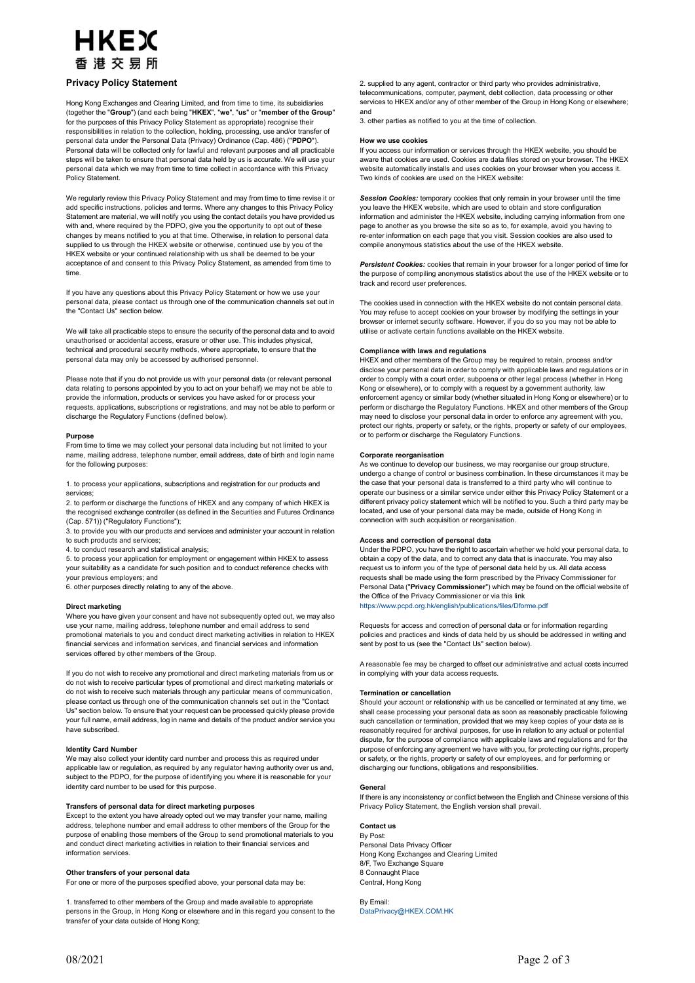# HKFX 香港交易所

### **Privacy Policy Statement**

Hong Kong Exchanges and Clearing Limited, and from time to time, its subsidiaries (together the "**Group**") (and each being "**HKEX**", "**we**", "**us**" or "**member of the Group**" for the purposes of this Privacy Policy Statement as appropriate) recognise their responsibilities in relation to the collection, holding, processing, use and/or transfer of personal data under the Personal Data (Privacy) Ordinance (Cap. 486) ("**PDPO**"). Personal data will be collected only for lawful and relevant purposes and all practicable steps will be taken to ensure that personal data held by us is accurate. We will use your personal data which we may from time to time collect in accordance with this Privacy Policy Statement.

We regularly review this Privacy Policy Statement and may from time to time revise it or add specific instructions, policies and terms. Where any changes to this Privacy Policy Statement are material, we will notify you using the contact details you have provided us with and, where required by the PDPO, give you the opportunity to opt out of these changes by means notified to you at that time. Otherwise, in relation to personal data supplied to us through the HKEX website or otherwise, continued use by you of the HKEX website or your continued relationship with us shall be deemed to be your acceptance of and consent to this Privacy Policy Statement, as amended from time to time.

If you have any questions about this Privacy Policy Statement or how we use your personal data, please contact us through one of the communication channels set out in the "Contact Us" section below.

We will take all practicable steps to ensure the security of the personal data and to avoid unauthorised or accidental access, erasure or other use. This includes physical, technical and procedural security methods, where appropriate, to ensure that the personal data may only be accessed by authorised personnel.

Please note that if you do not provide us with your personal data (or relevant personal data relating to persons appointed by you to act on your behalf) we may not be able to provide the information, products or services you have asked for or process your requests, applications, subscriptions or registrations, and may not be able to perform or discharge the Regulatory Functions (defined below).

### **Purpose**

From time to time we may collect your personal data including but not limited to your name, mailing address, telephone number, email address, date of birth and login name for the following purposes:

1. to process your applications, subscriptions and registration for our products and services;

2. to perform or discharge the functions of HKEX and any company of which HKEX is the recognised exchange controller (as defined in the Securities and Futures Ordinance (Cap. 571)) ("Regulatory Functions");

3. to provide you with our products and services and administer your account in relation to such products and services;

4. to conduct research and statistical analysis;

5. to process your application for employment or engagement within HKEX to assess your suitability as a candidate for such position and to conduct reference checks with your previous employers; and

6. other purposes directly relating to any of the above.

### **Direct marketing**

Where you have given your consent and have not subsequently opted out, we may also use your name, mailing address, telephone number and email address to send promotional materials to you and conduct direct marketing activities in relation to HKEX financial services and information services, and financial services and information services offered by other members of the Group.

If you do not wish to receive any promotional and direct marketing materials from us or do not wish to receive particular types of promotional and direct marketing materials or do not wish to receive such materials through any particular means of communication, please contact us through one of the communication channels set out in the "Contact Us" section below. To ensure that your request can be processed quickly please provide your full name, email address, log in name and details of the product and/or service you have subscribed.

### **Identity Card Number**

We may also collect your identity card number and process this as required under applicable law or regulation, as required by any regulator having authority over us and, subject to the PDPO, for the purpose of identifying you where it is reasonable for your identity card number to be used for this purpose.

### **Transfers of personal data for direct marketing purposes**

Except to the extent you have already opted out we may transfer your name, mailing address, telephone number and email address to other members of the Group for the purpose of enabling those members of the Group to send promotional materials to you and conduct direct marketing activities in relation to their financial services and information services.

### **Other transfers of your personal data**

For one or more of the purposes specified above, your personal data may be:

1. transferred to other members of the Group and made available to appropriate persons in the Group, in Hong Kong or elsewhere and in this regard you consent to the transfer of your data outside of Hong Kong;

2. supplied to any agent, contractor or third party who provides administrative, telecommunications, computer, payment, debt collection, data processing or other services to HKEX and/or any of other member of the Group in Hong Kong or elsewhere; and

3. other parties as notified to you at the time of collection.

#### **How we use cookies**

If you access our information or services through the HKEX website, you should be aware that cookies are used. Cookies are data files stored on your browser. The HKEX website automatically installs and uses cookies on your browser when you access it. Two kinds of cookies are used on the HKEX website:

*Session Cookies:* temporary cookies that only remain in your browser until the time you leave the HKEX website, which are used to obtain and store configuration information and administer the HKEX website, including carrying information from one page to another as you browse the site so as to, for example, avoid you having to re-enter information on each page that you visit. Session cookies are also used to compile anonymous statistics about the use of the HKEX website.

*Persistent Cookies:* cookies that remain in your browser for a longer period of time for the purpose of compiling anonymous statistics about the use of the HKEX website or to track and record user preferences.

The cookies used in connection with the HKEX website do not contain personal data. You may refuse to accept cookies on your browser by modifying the settings in your browser or internet security software. However, if you do so you may not be able to utilise or activate certain functions available on the HKEX website.

### **Compliance with laws and regulations**

HKEX and other members of the Group may be required to retain, process and/or disclose your personal data in order to comply with applicable laws and regulations or in order to comply with a court order, subpoena or other legal process (whether in Hong Kong or elsewhere), or to comply with a request by a government authority, law enforcement agency or similar body (whether situated in Hong Kong or elsewhere) or to perform or discharge the Regulatory Functions. HKEX and other members of the Group may need to disclose your personal data in order to enforce any agreement with you, protect our rights, property or safety, or the rights, property or safety of our employees, or to perform or discharge the Regulatory Functions.

### **Corporate reorganisation**

As we continue to develop our business, we may reorganise our group structure, undergo a change of control or business combination. In these circumstances it may be the case that your personal data is transferred to a third party who will continue to operate our business or a similar service under either this Privacy Policy Statement or a different privacy policy statement which will be notified to you. Such a third party may be located, and use of your personal data may be made, outside of Hong Kong in connection with such acquisition or reorganisation.

### **Access and correction of personal data**

Under the PDPO, you have the right to ascertain whether we hold your personal data, to obtain a copy of the data, and to correct any data that is inaccurate. You may also request us to inform you of the type of personal data held by us. All data access requests shall be made using the form prescribed by the Privacy Commissioner for Personal Data ("**Privacy Commissioner**") which may be found on the official website of the Office of the Privacy Commissioner or via this link <https://www.pcpd.org.hk/english/publications/files/Dforme.pdf>

Requests for access and correction of personal data or for information regarding policies and practices and kinds of data held by us should be addressed in writing and sent by post to us (see the "Contact Us" section below).

A reasonable fee may be charged to offset our administrative and actual costs incurred in complying with your data access requests.

### **Termination or cancellation**

Should your account or relationship with us be cancelled or terminated at any time, we shall cease processing your personal data as soon as reasonably practicable following such cancellation or termination, provided that we may keep copies of your data as is reasonably required for archival purposes, for use in relation to any actual or potential dispute, for the purpose of compliance with applicable laws and regulations and for the purpose of enforcing any agreement we have with you, for protecting our rights, property or safety, or the rights, property or safety of our employees, and for performing or discharging our functions, obligations and responsibilities.

### **General**

If there is any inconsistency or conflict between the English and Chinese versions of this Privacy Policy Statement, the English version shall prevail.

**Contact us** By Post: Personal Data Privacy Officer Hong Kong Exchanges and Clearing Limited 8/F, Two Exchange Square 8 Connaught Place Central, Hong Kong

By Email: [DataPrivacy@HKEX.COM.HK](mailto:DataPrivacy@HKEX.COM.HK)